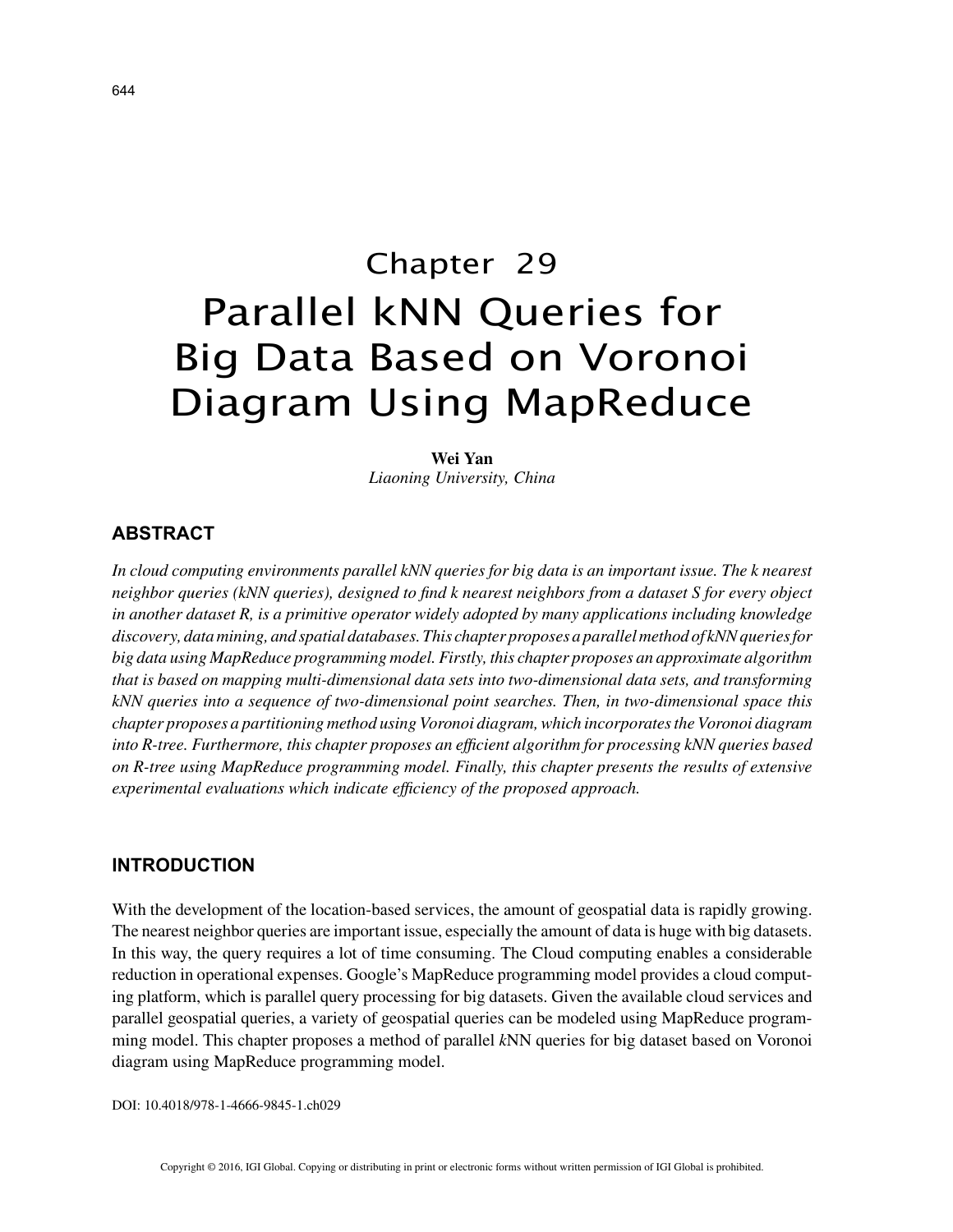# Chapter 29 Parallel kNN Queries for Big Data Based on Voronoi Diagram Using MapReduce

**Wei Yan** *Liaoning University, China*

# **ABSTRACT**

*In cloud computing environments parallel kNN queries for big data is an important issue. The k nearest neighbor queries (kNN queries), designed to find k nearest neighbors from a dataset S for every object in another dataset R, is a primitive operator widely adopted by many applications including knowledge discovery, data mining, and spatial databases. This chapter proposes a parallel method of kNN queries for big data using MapReduce programming model. Firstly, this chapter proposes an approximate algorithm that is based on mapping multi-dimensional data sets into two-dimensional data sets, and transforming kNN queries into a sequence of two-dimensional point searches. Then, in two-dimensional space this chapter proposes a partitioning method using Voronoi diagram, which incorporates the Voronoi diagram into R-tree. Furthermore, this chapter proposes an efficient algorithm for processing kNN queries based on R-tree using MapReduce programming model. Finally, this chapter presents the results of extensive experimental evaluations which indicate efficiency of the proposed approach.*

### **INTRODUCTION**

With the development of the location-based services, the amount of geospatial data is rapidly growing. The nearest neighbor queries are important issue, especially the amount of data is huge with big datasets. In this way, the query requires a lot of time consuming. The Cloud computing enables a considerable reduction in operational expenses. Google's MapReduce programming model provides a cloud computing platform, which is parallel query processing for big datasets. Given the available cloud services and parallel geospatial queries, a variety of geospatial queries can be modeled using MapReduce programming model. This chapter proposes a method of parallel *k*NN queries for big dataset based on Voronoi diagram using MapReduce programming model.

DOI: 10.4018/978-1-4666-9845-1.ch029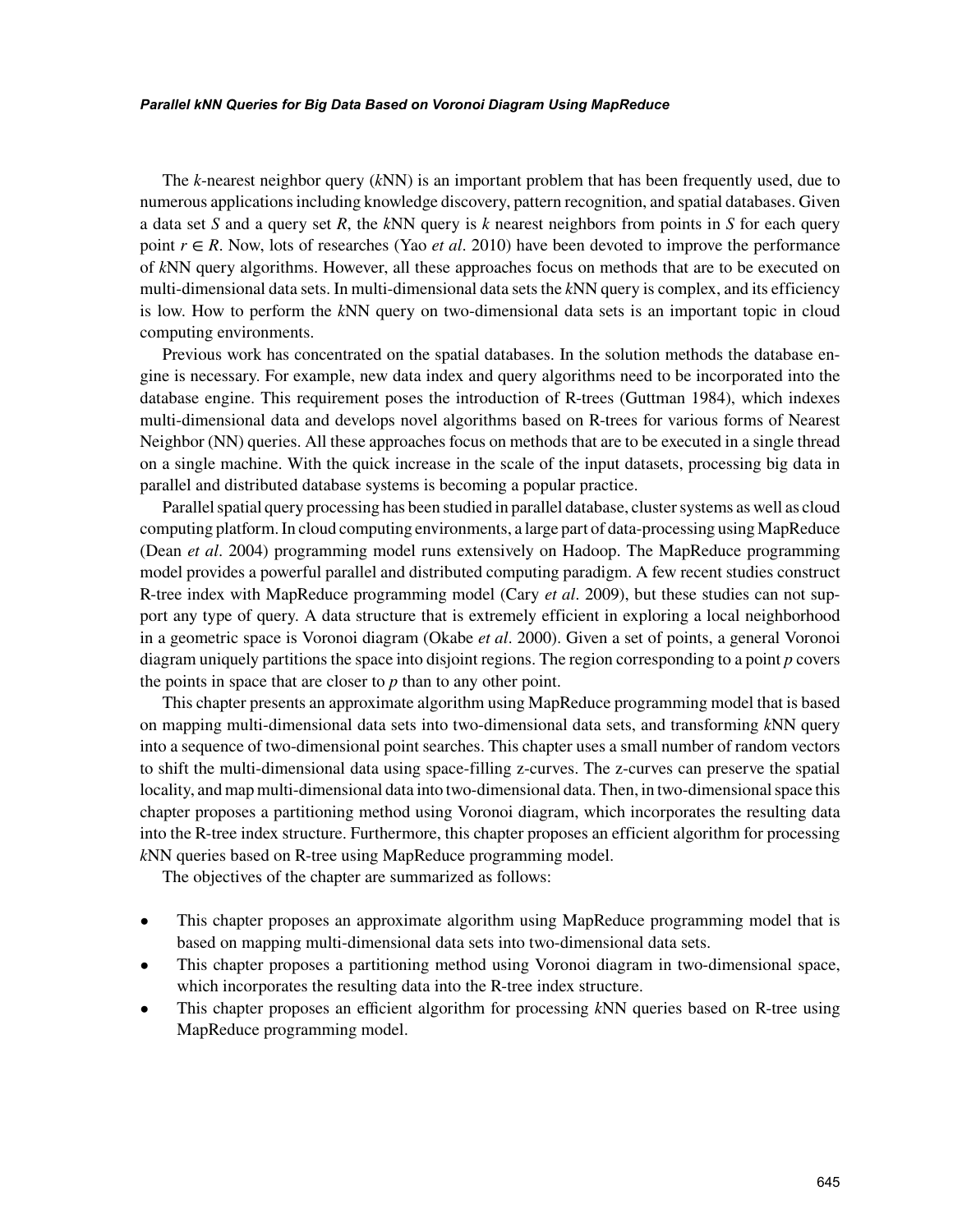The *k*-nearest neighbor query (*k*NN) is an important problem that has been frequently used, due to numerous applications including knowledge discovery, pattern recognition, and spatial databases. Given a data set *S* and a query set *R*, the *k*NN query is *k* nearest neighbors from points in *S* for each query point  $r \in R$ . Now, lots of researches (Yao *et al.* 2010) have been devoted to improve the performance of *k*NN query algorithms. However, all these approaches focus on methods that are to be executed on multi-dimensional data sets. In multi-dimensional data sets the *k*NN query is complex, and its efficiency is low. How to perform the *k*NN query on two-dimensional data sets is an important topic in cloud computing environments.

Previous work has concentrated on the spatial databases. In the solution methods the database engine is necessary. For example, new data index and query algorithms need to be incorporated into the database engine. This requirement poses the introduction of R-trees (Guttman 1984), which indexes multi-dimensional data and develops novel algorithms based on R-trees for various forms of Nearest Neighbor (NN) queries. All these approaches focus on methods that are to be executed in a single thread on a single machine. With the quick increase in the scale of the input datasets, processing big data in parallel and distributed database systems is becoming a popular practice.

Parallel spatial query processing has been studied in parallel database, cluster systems as well as cloud computing platform. In cloud computing environments, a large part of data-processing using MapReduce (Dean *et al*. 2004) programming model runs extensively on Hadoop. The MapReduce programming model provides a powerful parallel and distributed computing paradigm. A few recent studies construct R-tree index with MapReduce programming model (Cary *et al*. 2009), but these studies can not support any type of query. A data structure that is extremely efficient in exploring a local neighborhood in a geometric space is Voronoi diagram (Okabe *et al*. 2000). Given a set of points, a general Voronoi diagram uniquely partitions the space into disjoint regions. The region corresponding to a point *p* covers the points in space that are closer to *p* than to any other point.

This chapter presents an approximate algorithm using MapReduce programming model that is based on mapping multi-dimensional data sets into two-dimensional data sets, and transforming *k*NN query into a sequence of two-dimensional point searches. This chapter uses a small number of random vectors to shift the multi-dimensional data using space-filling z-curves. The z-curves can preserve the spatial locality, and map multi-dimensional data into two-dimensional data. Then, in two-dimensional space this chapter proposes a partitioning method using Voronoi diagram, which incorporates the resulting data into the R-tree index structure. Furthermore, this chapter proposes an efficient algorithm for processing *k*NN queries based on R-tree using MapReduce programming model.

The objectives of the chapter are summarized as follows:

- This chapter proposes an approximate algorithm using MapReduce programming model that is based on mapping multi-dimensional data sets into two-dimensional data sets.
- This chapter proposes a partitioning method using Voronoi diagram in two-dimensional space, which incorporates the resulting data into the R-tree index structure.
- This chapter proposes an efficient algorithm for processing *k*NN queries based on R-tree using MapReduce programming model.